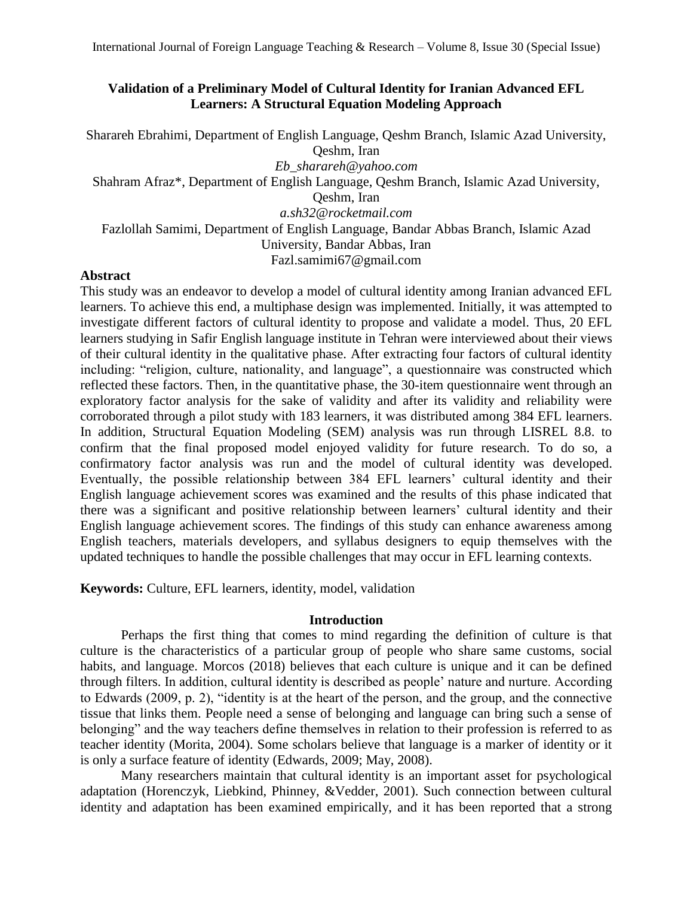# **Validation of a Preliminary Model of Cultural Identity for Iranian Advanced EFL Learners: A Structural Equation Modeling Approach**

Sharareh Ebrahimi, Department of English Language, Qeshm Branch, Islamic Azad University, Qeshm, Iran *[Eb\\_sharareh@yahoo.com](mailto:Eb_sharareh@yahoo.com)* Shahram Afraz\*, Department of English Language, Qeshm Branch, Islamic Azad University, Qeshm, Iran *[a.sh32@rocketmail.com](mailto:a.sh32@rocketmail.com)* Fazlollah Samimi, Department of English Language, Bandar Abbas Branch, Islamic Azad University, Bandar Abbas, Iran [Fazl.samimi67@gmail.com](mailto:Fazl.samimi67@gmail.com)

## **Abstract**

This study was an endeavor to develop a model of cultural identity among Iranian advanced EFL learners. To achieve this end, a multiphase design was implemented. Initially, it was attempted to investigate different factors of cultural identity to propose and validate a model. Thus, 20 EFL learners studying in Safir English language institute in Tehran were interviewed about their views of their cultural identity in the qualitative phase. After extracting four factors of cultural identity including: "religion, culture, nationality, and language", a questionnaire was constructed which reflected these factors. Then, in the quantitative phase, the 30-item questionnaire went through an exploratory factor analysis for the sake of validity and after its validity and reliability were corroborated through a pilot study with 183 learners, it was distributed among 384 EFL learners. In addition, Structural Equation Modeling (SEM) analysis was run through LISREL 8.8. to confirm that the final proposed model enjoyed validity for future research. To do so, a confirmatory factor analysis was run and the model of cultural identity was developed. Eventually, the possible relationship between 384 EFL learners' cultural identity and their English language achievement scores was examined and the results of this phase indicated that there was a significant and positive relationship between learners' cultural identity and their English language achievement scores. The findings of this study can enhance awareness among English teachers, materials developers, and syllabus designers to equip themselves with the updated techniques to handle the possible challenges that may occur in EFL learning contexts.

**Keywords:** Culture, EFL learners, identity, model, validation

## **Introduction**

Perhaps the first thing that comes to mind regarding the definition of culture is that culture is the characteristics of a particular group of people who share same customs, social habits, and language. Morcos (2018) believes that each culture is unique and it can be defined through filters. In addition, cultural identity is described as people' nature and nurture. According to Edwards (2009, p. 2), "identity is at the heart of the person, and the group, and the connective tissue that links them. People need a sense of belonging and language can bring such a sense of belonging" and the way teachers define themselves in relation to their profession is referred to as teacher identity (Morita, 2004). Some scholars believe that language is a marker of identity or it is only a surface feature of identity (Edwards, 2009; May, 2008).

Many researchers maintain that cultural identity is an important asset for psychological adaptation (Horenczyk, Liebkind, Phinney, &Vedder, 2001). Such connection between cultural identity and adaptation has been examined empirically, and it has been reported that a strong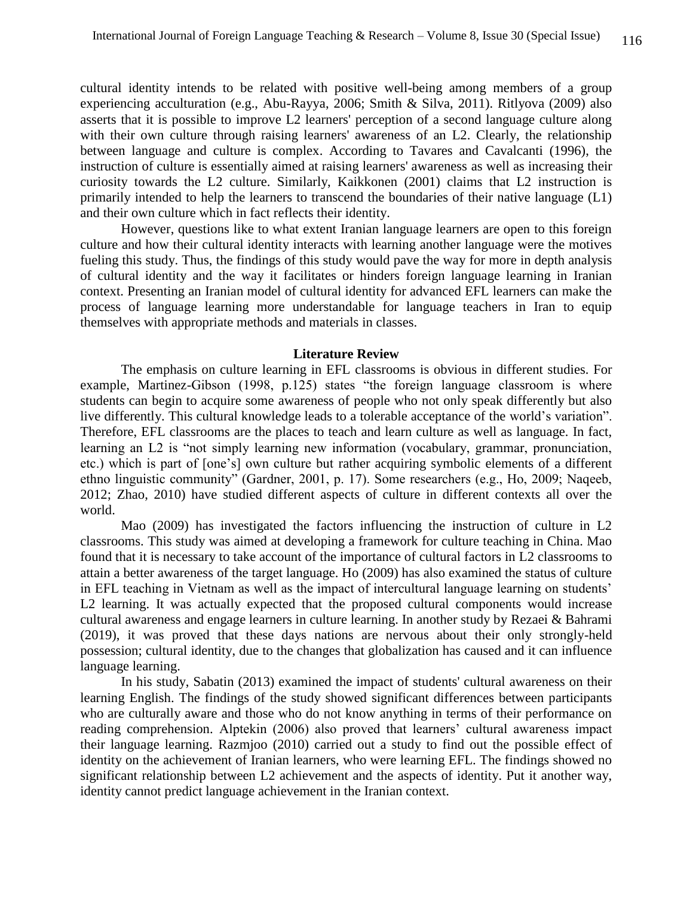cultural identity intends to be related with positive well-being among members of a group experiencing acculturation (e.g., Abu-Rayya, 2006; Smith & Silva, 2011). Ritlyova (2009) also asserts that it is possible to improve L2 learners' perception of a second language culture along with their own culture through raising learners' awareness of an L2. Clearly, the relationship between language and culture is complex. According to Tavares and Cavalcanti (1996), the instruction of culture is essentially aimed at raising learners' awareness as well as increasing their curiosity towards the L2 culture. Similarly, Kaikkonen (2001) claims that L2 instruction is primarily intended to help the learners to transcend the boundaries of their native language (L1) and their own culture which in fact reflects their identity.

However, questions like to what extent Iranian language learners are open to this foreign culture and how their cultural identity interacts with learning another language were the motives fueling this study. Thus, the findings of this study would pave the way for more in depth analysis of cultural identity and the way it facilitates or hinders foreign language learning in Iranian context. Presenting an Iranian model of cultural identity for advanced EFL learners can make the process of language learning more understandable for language teachers in Iran to equip themselves with appropriate methods and materials in classes.

#### **Literature Review**

The emphasis on culture learning in EFL classrooms is obvious in different studies. For example, Martinez-Gibson (1998, p.125) states "the foreign language classroom is where students can begin to acquire some awareness of people who not only speak differently but also live differently. This cultural knowledge leads to a tolerable acceptance of the world's variation". Therefore, EFL classrooms are the places to teach and learn culture as well as language. In fact, learning an L2 is "not simply learning new information (vocabulary, grammar, pronunciation, etc.) which is part of [one's] own culture but rather acquiring symbolic elements of a different ethno linguistic community" (Gardner, 2001, p. 17). Some researchers (e.g., Ho, 2009; Naqeeb, 2012; Zhao, 2010) have studied different aspects of culture in different contexts all over the world.

Mao (2009) has investigated the factors influencing the instruction of culture in L2 classrooms. This study was aimed at developing a framework for culture teaching in China. Mao found that it is necessary to take account of the importance of cultural factors in L2 classrooms to attain a better awareness of the target language. Ho (2009) has also examined the status of culture in EFL teaching in Vietnam as well as the impact of intercultural language learning on students' L2 learning. It was actually expected that the proposed cultural components would increase cultural awareness and engage learners in culture learning. In another study by Rezaei & Bahrami (2019), it was proved that these days nations are nervous about their only strongly-held possession; cultural identity, due to the changes that globalization has caused and it can influence language learning.

In his study, Sabatin (2013) examined the impact of students' cultural awareness on their learning English. The findings of the study showed significant differences between participants who are culturally aware and those who do not know anything in terms of their performance on reading comprehension. Alptekin (2006) also proved that learners' cultural awareness impact their language learning. Razmjoo (2010) carried out a study to find out the possible effect of identity on the achievement of Iranian learners, who were learning EFL. The findings showed no significant relationship between L2 achievement and the aspects of identity. Put it another way, identity cannot predict language achievement in the Iranian context.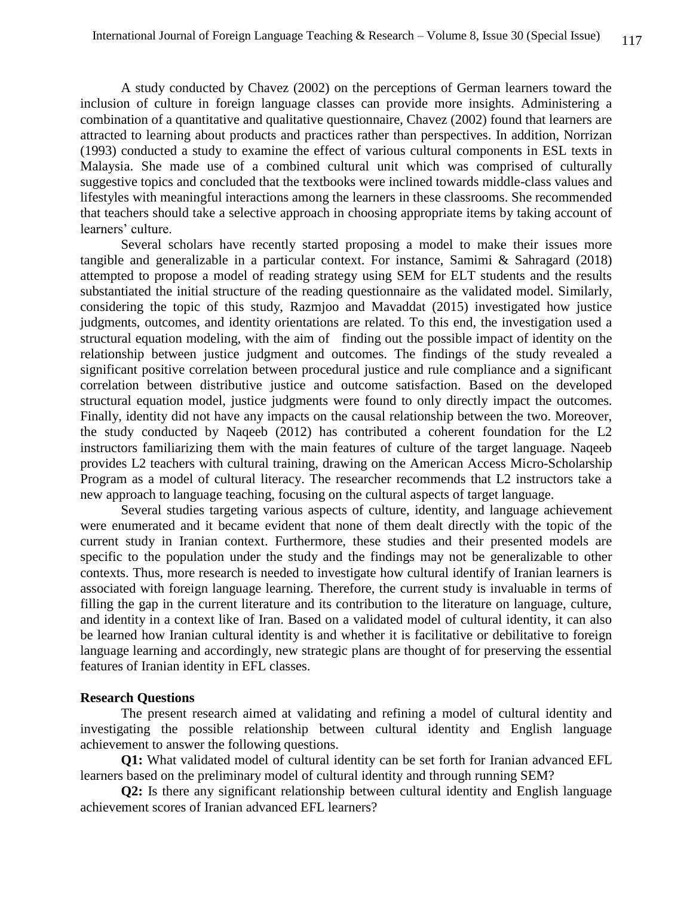A study conducted by Chavez (2002) on the perceptions of German learners toward the inclusion of culture in foreign language classes can provide more insights. Administering a combination of a quantitative and qualitative questionnaire, Chavez (2002) found that learners are attracted to learning about products and practices rather than perspectives. In addition, Norrizan (1993) conducted a study to examine the effect of various cultural components in ESL texts in Malaysia. She made use of a combined cultural unit which was comprised of culturally suggestive topics and concluded that the textbooks were inclined towards middle-class values and lifestyles with meaningful interactions among the learners in these classrooms. She recommended that teachers should take a selective approach in choosing appropriate items by taking account of learners' culture.

Several scholars have recently started proposing a model to make their issues more tangible and generalizable in a particular context. For instance, Samimi & Sahragard (2018) attempted to propose a model of reading strategy using SEM for ELT students and the results substantiated the initial structure of the reading questionnaire as the validated model. Similarly, considering the topic of this study, Razmjoo and Mavaddat (2015) investigated how justice judgments, outcomes, and identity orientations are related. To this end, the investigation used a structural equation modeling, with the aim of finding out the possible impact of identity on the relationship between justice judgment and outcomes. The findings of the study revealed a significant positive correlation between procedural justice and rule compliance and a significant correlation between distributive justice and outcome satisfaction. Based on the developed structural equation model, justice judgments were found to only directly impact the outcomes. Finally, identity did not have any impacts on the causal relationship between the two. Moreover, the study conducted by Naqeeb (2012) has contributed a coherent foundation for the L2 instructors familiarizing them with the main features of culture of the target language. Naqeeb provides L2 teachers with cultural training, drawing on the American Access Micro-Scholarship Program as a model of cultural literacy. The researcher recommends that L2 instructors take a new approach to language teaching, focusing on the cultural aspects of target language.

Several studies targeting various aspects of culture, identity, and language achievement were enumerated and it became evident that none of them dealt directly with the topic of the current study in Iranian context. Furthermore, these studies and their presented models are specific to the population under the study and the findings may not be generalizable to other contexts. Thus, more research is needed to investigate how cultural identify of Iranian learners is associated with foreign language learning. Therefore, the current study is invaluable in terms of filling the gap in the current literature and its contribution to the literature on language, culture, and identity in a context like of Iran. Based on a validated model of cultural identity, it can also be learned how Iranian cultural identity is and whether it is facilitative or debilitative to foreign language learning and accordingly, new strategic plans are thought of for preserving the essential features of Iranian identity in EFL classes.

## **Research Questions**

The present research aimed at validating and refining a model of cultural identity and investigating the possible relationship between cultural identity and English language achievement to answer the following questions.

**Q1:** What validated model of cultural identity can be set forth for Iranian advanced EFL learners based on the preliminary model of cultural identity and through running SEM?

**Q2:** Is there any significant relationship between cultural identity and English language achievement scores of Iranian advanced EFL learners?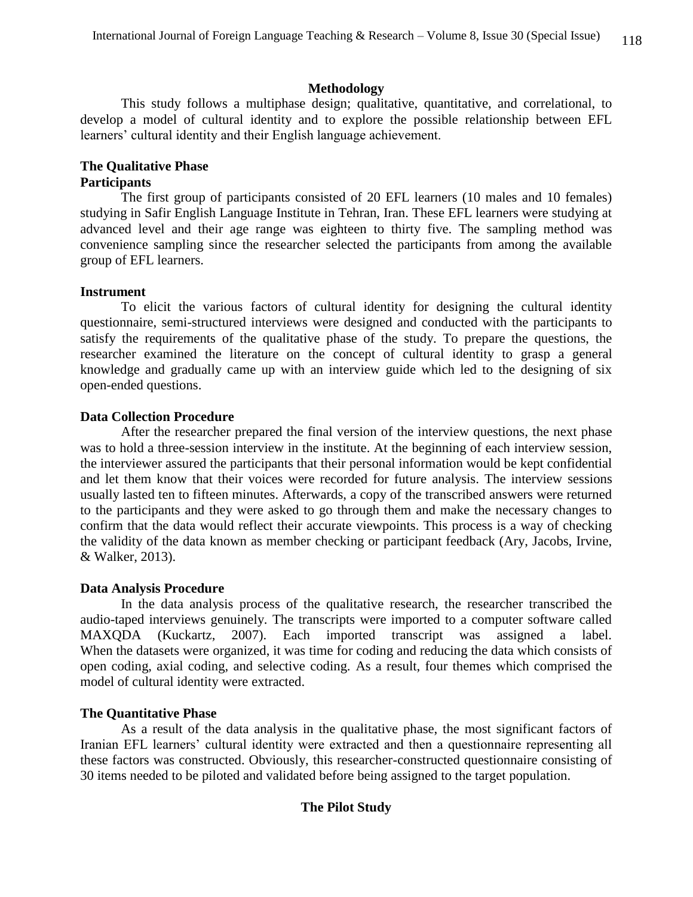## **Methodology**

This study follows a multiphase design; qualitative, quantitative, and correlational, to develop a model of cultural identity and to explore the possible relationship between EFL learners' cultural identity and their English language achievement.

# **The Qualitative Phase**

# **Participants**

The first group of participants consisted of 20 EFL learners (10 males and 10 females) studying in Safir English Language Institute in Tehran, Iran. These EFL learners were studying at advanced level and their age range was eighteen to thirty five. The sampling method was convenience sampling since the researcher selected the participants from among the available group of EFL learners.

# **Instrument**

To elicit the various factors of cultural identity for designing the cultural identity questionnaire, semi-structured interviews were designed and conducted with the participants to satisfy the requirements of the qualitative phase of the study. To prepare the questions, the researcher examined the literature on the concept of cultural identity to grasp a general knowledge and gradually came up with an interview guide which led to the designing of six open-ended questions.

# **Data Collection Procedure**

After the researcher prepared the final version of the interview questions, the next phase was to hold a three-session interview in the institute. At the beginning of each interview session, the interviewer assured the participants that their personal information would be kept confidential and let them know that their voices were recorded for future analysis. The interview sessions usually lasted ten to fifteen minutes. Afterwards, a copy of the transcribed answers were returned to the participants and they were asked to go through them and make the necessary changes to confirm that the data would reflect their accurate viewpoints. This process is a way of checking the validity of the data known as member checking or participant feedback (Ary, Jacobs, Irvine, & Walker, 2013).

# **Data Analysis Procedure**

In the data analysis process of the qualitative research, the researcher transcribed the audio-taped interviews genuinely. The transcripts were imported to a computer software called MAXQDA (Kuckartz, 2007). Each imported transcript was assigned a label. When the datasets were organized, it was time for coding and reducing the data which consists of open coding, axial coding, and selective coding. As a result, four themes which comprised the model of cultural identity were extracted.

# **The Quantitative Phase**

As a result of the data analysis in the qualitative phase, the most significant factors of Iranian EFL learners' cultural identity were extracted and then a questionnaire representing all these factors was constructed. Obviously, this researcher-constructed questionnaire consisting of 30 items needed to be piloted and validated before being assigned to the target population.

# **The Pilot Study**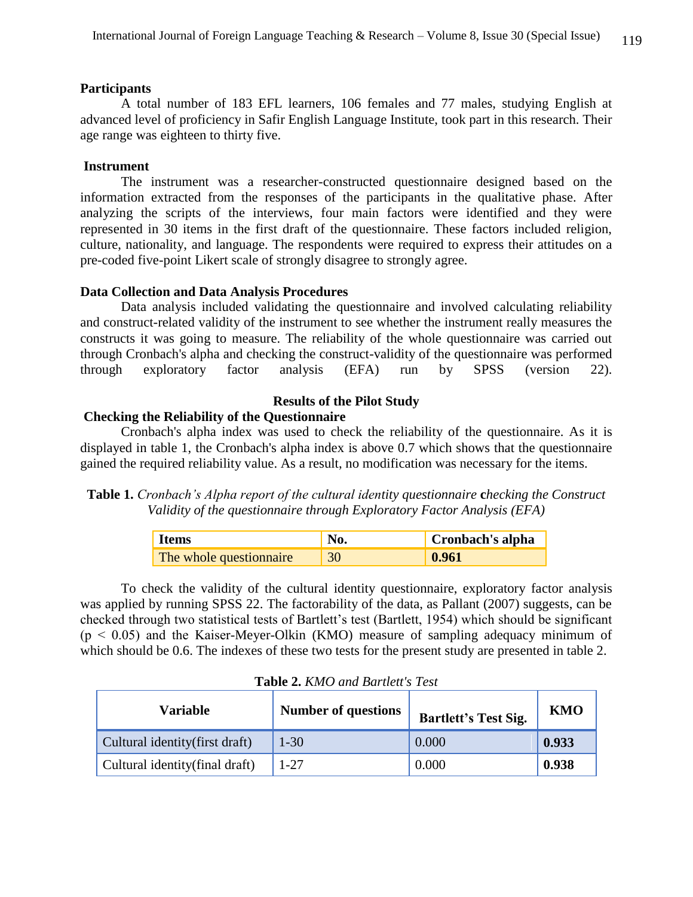## **Participants**

A total number of 183 EFL learners, 106 females and 77 males, studying English at advanced level of proficiency in Safir English Language Institute, took part in this research. Their age range was eighteen to thirty five.

## **Instrument**

The instrument was a researcher-constructed questionnaire designed based on the information extracted from the responses of the participants in the qualitative phase. After analyzing the scripts of the interviews, four main factors were identified and they were represented in 30 items in the first draft of the questionnaire. These factors included religion, culture, nationality, and language. The respondents were required to express their attitudes on a pre-coded five-point Likert scale of strongly disagree to strongly agree.

## **Data Collection and Data Analysis Procedures**

Data analysis included validating the questionnaire and involved calculating reliability and construct-related validity of the instrument to see whether the instrument really measures the constructs it was going to measure. The reliability of the whole questionnaire was carried out through Cronbach's alpha and checking the construct-validity of the questionnaire was performed through exploratory factor analysis (EFA) run by SPSS (version 22).

# **Results of the Pilot Study**

## **Checking the Reliability of the Questionnaire**

Cronbach's alpha index was used to check the reliability of the questionnaire. As it is displayed in table 1, the Cronbach's alpha index is above 0.7 which shows that the questionnaire gained the required reliability value. As a result, no modification was necessary for the items.

**Table 1.** *Cronbach's Alpha report of the cultural identity questionnaire checking the Construct Validity of the questionnaire through Exploratory Factor Analysis (EFA)*

| <b>Items</b>            | No. | Cronbach's alpha |
|-------------------------|-----|------------------|
| The whole questionnaire | 30  | $\mid 0.961$     |

To check the validity of the cultural identity questionnaire, exploratory factor analysis was applied by running SPSS 22. The factorability of the data, as Pallant (2007) suggests, can be checked through two statistical tests of Bartlett's test (Bartlett, 1954) which should be significant  $(p < 0.05)$  and the Kaiser-Meyer-Olkin (KMO) measure of sampling adequacy minimum of which should be 0.6. The indexes of these two tests for the present study are presented in table 2.

| Variable                        | <b>Number of questions</b> | <b>Bartlett's Test Sig.</b> | KMO   |
|---------------------------------|----------------------------|-----------------------------|-------|
| Cultural identity (first draft) | $1 - 30$                   | 0.000                       | 0.933 |
| Cultural identity (final draft) | $1 - 27$                   | 0.000                       | 0.938 |

**Table 2.** *KMO and Bartlett's Test*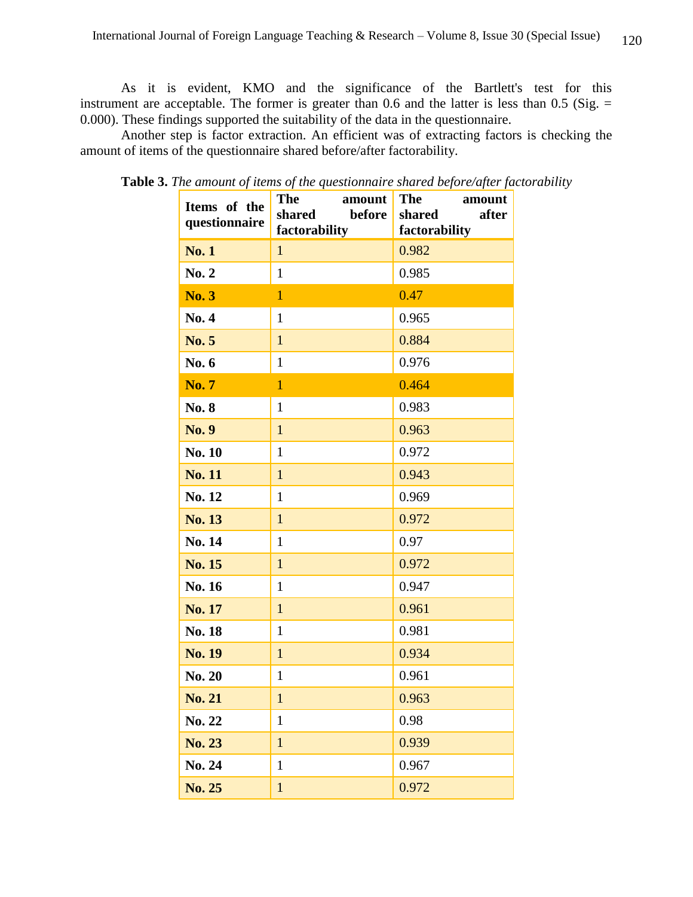As it is evident, KMO and the significance of the Bartlett's test for this instrument are acceptable. The former is greater than 0.6 and the latter is less than  $0.5$  (Sig.  $=$ 0.000). These findings supported the suitability of the data in the questionnaire.

Another step is factor extraction. An efficient was of extracting factors is checking the amount of items of the questionnaire shared before/after factorability.

| Items of the<br>questionnaire | <b>The</b><br>amount<br>before<br>shared<br>factorability | <b>The</b><br>amount<br>shared<br>after<br>factorability |
|-------------------------------|-----------------------------------------------------------|----------------------------------------------------------|
| <b>No. 1</b>                  | $\mathbf{1}$                                              | 0.982                                                    |
| No. 2                         | $\mathbf{1}$                                              | 0.985                                                    |
| <b>No. 3</b>                  | $\overline{1}$                                            | 0.47                                                     |
| No. 4                         | $\mathbf{1}$                                              | 0.965                                                    |
| <b>No. 5</b>                  | $\mathbf{1}$                                              | 0.884                                                    |
| No. 6                         | $\mathbf{1}$                                              | 0.976                                                    |
| <b>No.7</b>                   | $\overline{1}$                                            | 0.464                                                    |
| No. 8                         | $\mathbf{1}$                                              | 0.983                                                    |
| <b>No. 9</b>                  | $\mathbf{1}$                                              | 0.963                                                    |
| <b>No. 10</b>                 | $\mathbf{1}$                                              | 0.972                                                    |
| <b>No. 11</b>                 | $\mathbf{1}$                                              | 0.943                                                    |
| No. 12                        | $\mathbf{1}$                                              | 0.969                                                    |
| <b>No. 13</b>                 | $\mathbf{1}$                                              | 0.972                                                    |
| No. 14                        | $\mathbf{1}$                                              | 0.97                                                     |
| No. 15                        | $\mathbf{1}$                                              | 0.972                                                    |
| No. 16                        | $\mathbf{1}$                                              | 0.947                                                    |
| No. 17                        | $\mathbf{1}$                                              | 0.961                                                    |
| No. 18                        | $\mathbf{1}$                                              | 0.981                                                    |
| <b>No. 19</b>                 | $\mathbf{1}$                                              | 0.934                                                    |
| No. 20                        | $\mathbf{1}$                                              | 0.961                                                    |
| <b>No. 21</b>                 | $\mathbf 1$                                               | 0.963                                                    |
| No. 22                        | $\mathbf{1}$                                              | 0.98                                                     |
| No. 23                        | $\mathbf{1}$                                              | 0.939                                                    |
| No. 24                        | $\mathbf{1}$                                              | 0.967                                                    |
| No. 25                        | $\mathbf{1}$                                              | 0.972                                                    |

**Table 3.** *The amount of items of the questionnaire shared before/after factorability*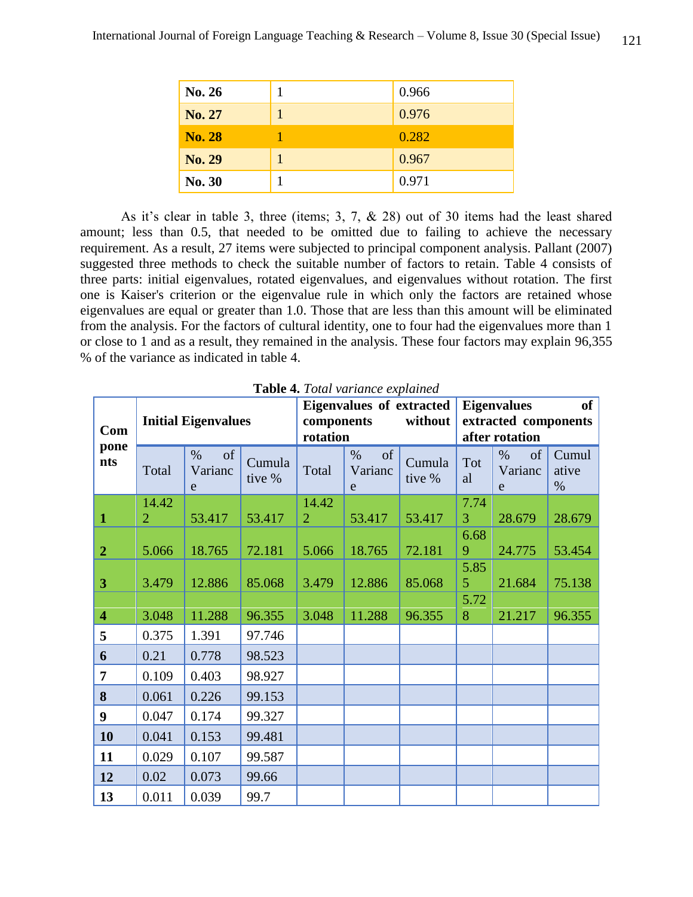| No. 26        | 0.966 |
|---------------|-------|
| No. 27        | 0.976 |
| <b>No. 28</b> | 0.282 |
| No. 29        | 0.967 |
| No. 30        | 0.971 |

As it's clear in table 3, three (items; 3, 7, & 28) out of 30 items had the least shared amount; less than 0.5, that needed to be omitted due to failing to achieve the necessary requirement. As a result, 27 items were subjected to principal component analysis. Pallant (2007) suggested three methods to check the suitable number of factors to retain. Table 4 consists of three parts: initial eigenvalues, rotated eigenvalues, and eigenvalues without rotation. The first one is Kaiser's criterion or the eigenvalue rule in which only the factors are retained whose eigenvalues are equal or greater than 1.0. Those that are less than this amount will be eliminated from the analysis. For the factors of cultural identity, one to four had the eigenvalues more than 1 or close to 1 and as a result, they remained in the analysis. These four factors may explain 96,355 % of the variance as indicated in table 4.

| <b>Initial Eigenvalues</b><br>Com |                         |                            |                  | <b>Eigenvalues of extracted</b><br>without<br>components<br>rotation |                                       | of<br><b>Eigenvalues</b><br>extracted components<br>after rotation |           |                            |                        |
|-----------------------------------|-------------------------|----------------------------|------------------|----------------------------------------------------------------------|---------------------------------------|--------------------------------------------------------------------|-----------|----------------------------|------------------------|
| pone<br>nts                       | Total                   | of<br>$\%$<br>Varianc<br>e | Cumula<br>tive % | Total                                                                | <sub>of</sub><br>$\%$<br>Varianc<br>e | Cumula<br>tive %                                                   | Tot<br>al | $\%$<br>of<br>Varianc<br>e | Cumul<br>ative<br>$\%$ |
| $\mathbf{1}$                      | 14.42<br>$\overline{2}$ | 53.417                     | 53.417           | 14.42<br>$\overline{2}$                                              | 53.417                                | 53.417                                                             | 7.74<br>3 | 28.679                     | 28.679                 |
| $\overline{2}$                    | 5.066                   | 18.765                     | 72.181           | 5.066                                                                | 18.765                                | 72.181                                                             | 6.68<br>9 | 24.775                     | 53.454                 |
| 3                                 | 3.479                   | 12.886                     | 85.068           | 3.479                                                                | 12.886                                | 85.068                                                             | 5.85<br>5 | 21.684                     | 75.138                 |
| $\overline{\mathbf{4}}$           | 3.048                   | 11.288                     | 96.355           | 3.048                                                                | 11.288                                | 96.355                                                             | 5.72<br>8 | 21.217                     | 96.355                 |
| 5                                 | 0.375                   | 1.391                      | 97.746           |                                                                      |                                       |                                                                    |           |                            |                        |
| 6                                 | 0.21                    | 0.778                      | 98.523           |                                                                      |                                       |                                                                    |           |                            |                        |
| $\overline{7}$                    | 0.109                   | 0.403                      | 98.927           |                                                                      |                                       |                                                                    |           |                            |                        |
| 8                                 | 0.061                   | 0.226                      | 99.153           |                                                                      |                                       |                                                                    |           |                            |                        |
| 9                                 | 0.047                   | 0.174                      | 99.327           |                                                                      |                                       |                                                                    |           |                            |                        |
| 10                                | 0.041                   | 0.153                      | 99.481           |                                                                      |                                       |                                                                    |           |                            |                        |
| 11                                | 0.029                   | 0.107                      | 99.587           |                                                                      |                                       |                                                                    |           |                            |                        |
| 12                                | 0.02                    | 0.073                      | 99.66            |                                                                      |                                       |                                                                    |           |                            |                        |
| 13                                | 0.011                   | 0.039                      | 99.7             |                                                                      |                                       |                                                                    |           |                            |                        |

**Table 4.** *Total variance explained*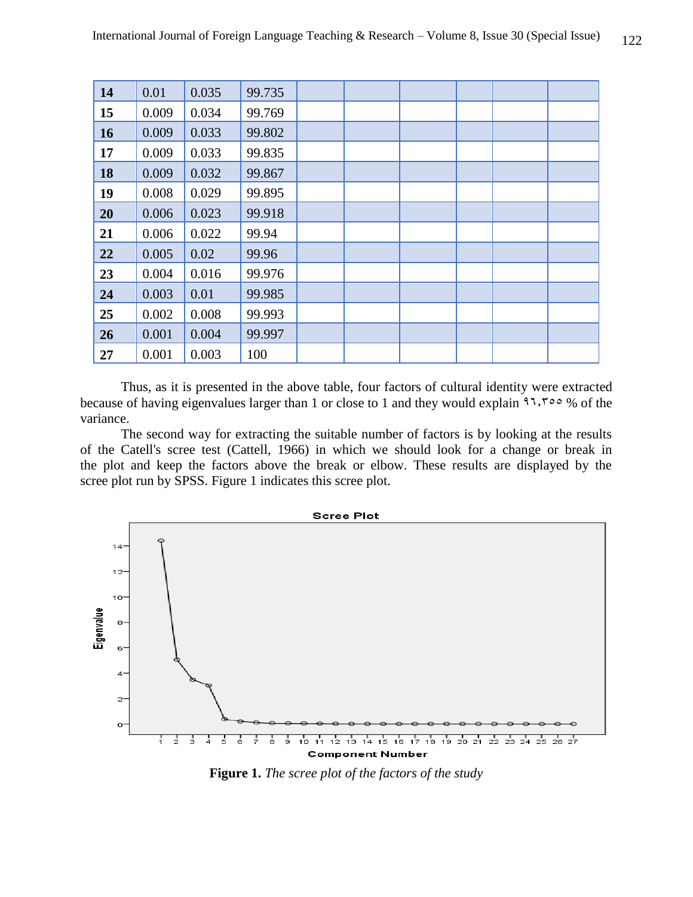| 14 | 0.01  | 0.035 | 99.735 |  |  |  |
|----|-------|-------|--------|--|--|--|
| 15 | 0.009 | 0.034 | 99.769 |  |  |  |
| 16 | 0.009 | 0.033 | 99.802 |  |  |  |
| 17 | 0.009 | 0.033 | 99.835 |  |  |  |
| 18 | 0.009 | 0.032 | 99.867 |  |  |  |
| 19 | 0.008 | 0.029 | 99.895 |  |  |  |
| 20 | 0.006 | 0.023 | 99.918 |  |  |  |
| 21 | 0.006 | 0.022 | 99.94  |  |  |  |
| 22 | 0.005 | 0.02  | 99.96  |  |  |  |
| 23 | 0.004 | 0.016 | 99.976 |  |  |  |
| 24 | 0.003 | 0.01  | 99.985 |  |  |  |
| 25 | 0.002 | 0.008 | 99.993 |  |  |  |
| 26 | 0.001 | 0.004 | 99.997 |  |  |  |
| 27 | 0.001 | 0.003 | 100    |  |  |  |

Thus, as it is presented in the above table, four factors of cultural identity were extracted because of having eigenvalues larger than 1 or close to 1 and they would explain  $1,700\%$  of the variance.

The second way for extracting the suitable number of factors is by looking at the results of the Catell's scree test (Cattell, 1966) in which we should look for a change or break in the plot and keep the factors above the break or elbow. These results are displayed by the scree plot run by SPSS. Figure 1 indicates this scree plot.



**Figure 1.** *The scree plot of the factors of the study*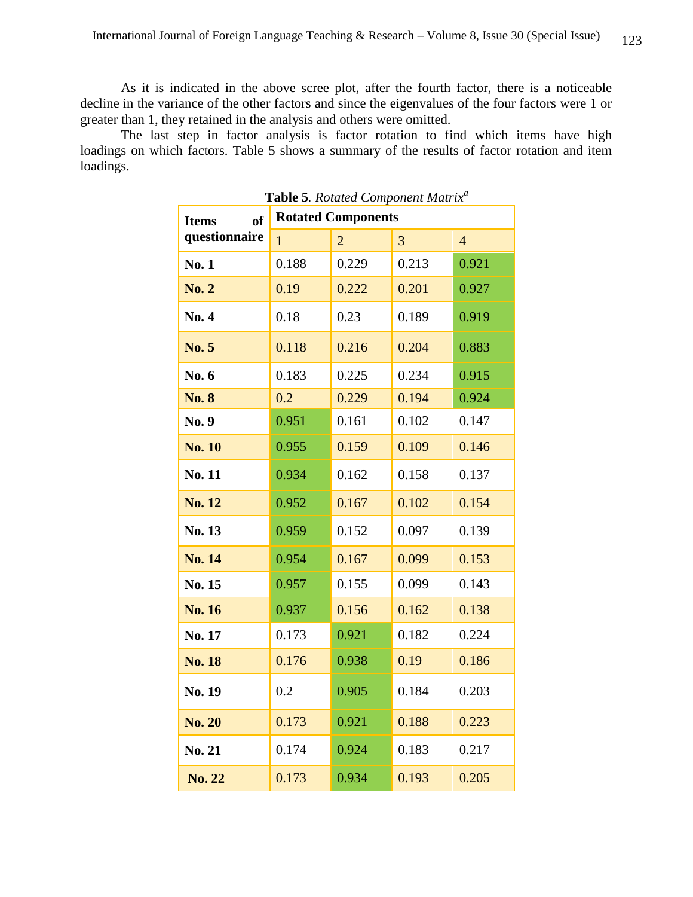As it is indicated in the above scree plot, after the fourth factor, there is a noticeable decline in the variance of the other factors and since the eigenvalues of the four factors were 1 or greater than 1, they retained in the analysis and others were omitted.

The last step in factor analysis is factor rotation to find which items have high loadings on which factors. Table 5 shows a summary of the results of factor rotation and item loadings.

| of<br><b>Items</b> | <b>Rotated Components</b> |                |       |                |  |  |
|--------------------|---------------------------|----------------|-------|----------------|--|--|
| questionnaire      | $\mathbf{1}$              | $\overline{2}$ | 3     | $\overline{4}$ |  |  |
| <b>No.1</b>        | 0.188                     | 0.229          | 0.213 | 0.921          |  |  |
| <b>No. 2</b>       | 0.19                      | 0.222          | 0.201 | 0.927          |  |  |
| <b>No. 4</b>       | 0.18                      | 0.23           | 0.189 | 0.919          |  |  |
| <b>No. 5</b>       | 0.118                     | 0.216          | 0.204 | 0.883          |  |  |
| No. 6              | 0.183                     | 0.225          | 0.234 | 0.915          |  |  |
| <b>No. 8</b>       | 0.2                       | 0.229          | 0.194 | 0.924          |  |  |
| No. 9              | 0.951                     | 0.161          | 0.102 | 0.147          |  |  |
| <b>No. 10</b>      | 0.955                     | 0.159          | 0.109 | 0.146          |  |  |
| No. 11             | 0.934                     | 0.162          | 0.158 | 0.137          |  |  |
| <b>No. 12</b>      | 0.952                     | 0.167          | 0.102 | 0.154          |  |  |
| No. 13             | 0.959                     | 0.152          | 0.097 | 0.139          |  |  |
| <b>No. 14</b>      | 0.954                     | 0.167          | 0.099 | 0.153          |  |  |
| No. 15             | 0.957                     | 0.155          | 0.099 | 0.143          |  |  |
| <b>No. 16</b>      | 0.937                     | 0.156          | 0.162 | 0.138          |  |  |
| No. 17             | 0.173                     | 0.921          | 0.182 | 0.224          |  |  |
| <b>No. 18</b>      | 0.176                     | 0.938          | 0.19  | 0.186          |  |  |
| No. 19             | 0.2                       | 0.905          | 0.184 | 0.203          |  |  |
| <b>No. 20</b>      | 0.173                     | 0.921          | 0.188 | 0.223          |  |  |
| <b>No. 21</b>      | 0.174                     | 0.924          | 0.183 | 0.217          |  |  |
| <b>No. 22</b>      | 0.173                     | 0.934          | 0.193 | 0.205          |  |  |

**Table 5***. Rotated Component Matrix<sup>a</sup>*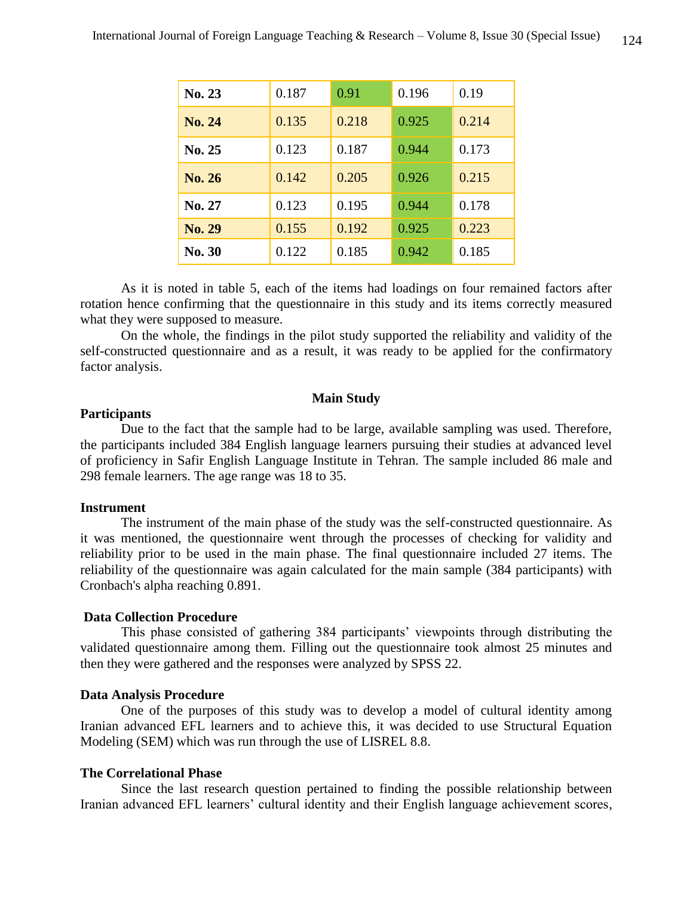| <b>No. 23</b> | 0.187 | 0.91  | 0.196 | 0.19  |
|---------------|-------|-------|-------|-------|
| <b>No. 24</b> | 0.135 | 0.218 | 0.925 | 0.214 |
| No. 25        | 0.123 | 0.187 | 0.944 | 0.173 |
| No. 26        | 0.142 | 0.205 | 0.926 | 0.215 |
| No. 27        | 0.123 | 0.195 | 0.944 | 0.178 |
| No. 29        | 0.155 | 0.192 | 0.925 | 0.223 |
| <b>No. 30</b> | 0.122 | 0.185 | 0.942 | 0.185 |

As it is noted in table 5, each of the items had loadings on four remained factors after rotation hence confirming that the questionnaire in this study and its items correctly measured what they were supposed to measure.

On the whole, the findings in the pilot study supported the reliability and validity of the self-constructed questionnaire and as a result, it was ready to be applied for the confirmatory factor analysis.

#### **Main Study**

## **Participants**

Due to the fact that the sample had to be large, available sampling was used. Therefore, the participants included 384 English language learners pursuing their studies at advanced level of proficiency in Safir English Language Institute in Tehran. The sample included 86 male and 298 female learners. The age range was 18 to 35.

#### **Instrument**

The instrument of the main phase of the study was the self-constructed questionnaire. As it was mentioned, the questionnaire went through the processes of checking for validity and reliability prior to be used in the main phase. The final questionnaire included 27 items. The reliability of the questionnaire was again calculated for the main sample (384 participants) with Cronbach's alpha reaching 0.891.

## **Data Collection Procedure**

This phase consisted of gathering 384 participants' viewpoints through distributing the validated questionnaire among them. Filling out the questionnaire took almost 25 minutes and then they were gathered and the responses were analyzed by SPSS 22.

#### **Data Analysis Procedure**

One of the purposes of this study was to develop a model of cultural identity among Iranian advanced EFL learners and to achieve this, it was decided to use Structural Equation Modeling (SEM) which was run through the use of LISREL 8.8.

## **The Correlational Phase**

Since the last research question pertained to finding the possible relationship between Iranian advanced EFL learners' cultural identity and their English language achievement scores,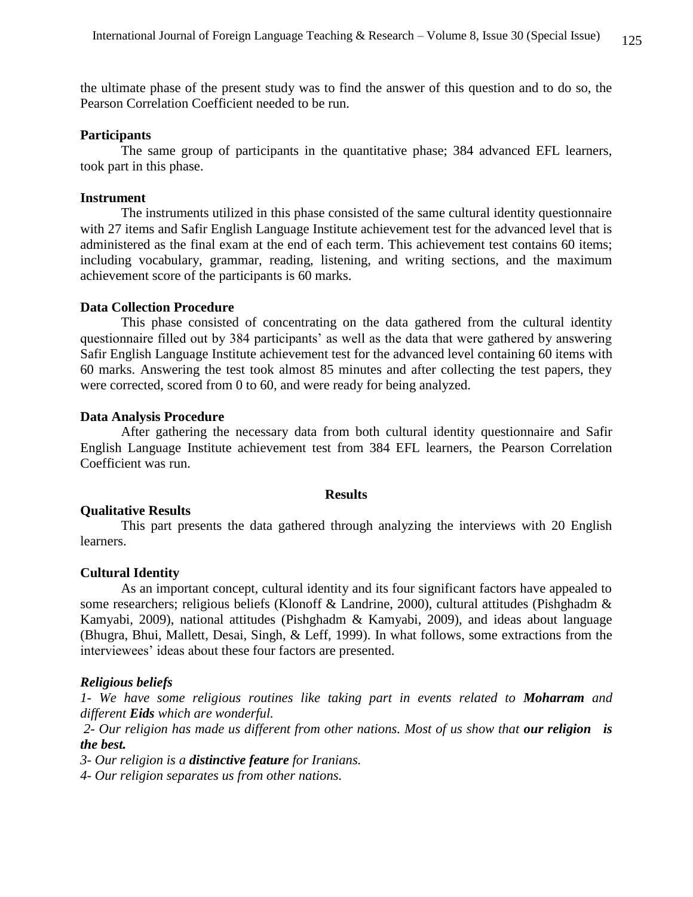the ultimate phase of the present study was to find the answer of this question and to do so, the Pearson Correlation Coefficient needed to be run.

#### **Participants**

The same group of participants in the quantitative phase; 384 advanced EFL learners, took part in this phase.

#### **Instrument**

The instruments utilized in this phase consisted of the same cultural identity questionnaire with 27 items and Safir English Language Institute achievement test for the advanced level that is administered as the final exam at the end of each term. This achievement test contains 60 items; including vocabulary, grammar, reading, listening, and writing sections, and the maximum achievement score of the participants is 60 marks.

## **Data Collection Procedure**

This phase consisted of concentrating on the data gathered from the cultural identity questionnaire filled out by 384 participants' as well as the data that were gathered by answering Safir English Language Institute achievement test for the advanced level containing 60 items with 60 marks. Answering the test took almost 85 minutes and after collecting the test papers, they were corrected, scored from 0 to 60, and were ready for being analyzed.

## **Data Analysis Procedure**

After gathering the necessary data from both cultural identity questionnaire and Safir English Language Institute achievement test from 384 EFL learners, the Pearson Correlation Coefficient was run.

#### **Results**

## **Qualitative Results**

This part presents the data gathered through analyzing the interviews with 20 English learners.

#### **Cultural Identity**

As an important concept, cultural identity and its four significant factors have appealed to some researchers; religious beliefs (Klonoff & Landrine, 2000), cultural attitudes (Pishghadm & Kamyabi, 2009), national attitudes (Pishghadm & Kamyabi, 2009), and ideas about language (Bhugra, Bhui, Mallett, Desai, Singh, & Leff, 1999). In what follows, some extractions from the interviewees' ideas about these four factors are presented.

#### *Religious beliefs*

*1- We have some religious routines like taking part in events related to Moharram and different Eids which are wonderful.* 

*2- Our religion has made us different from other nations. Most of us show that our religion is the best.*

*3- Our religion is a distinctive feature for Iranians.*

*4- Our religion separates us from other nations.*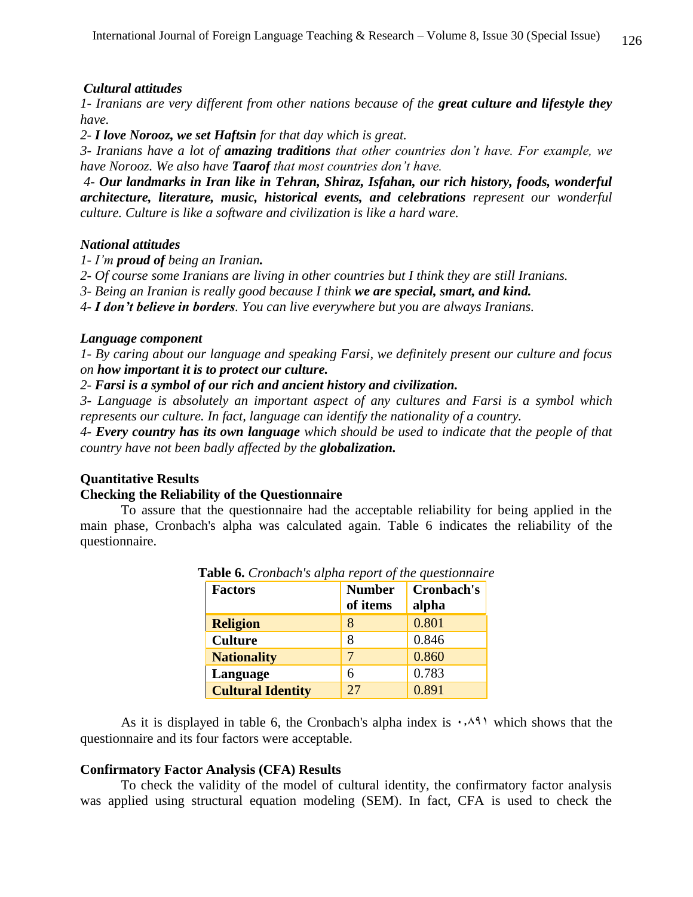## *Cultural attitudes*

*1- Iranians are very different from other nations because of the great culture and lifestyle they have.* 

*2- I love Norooz, we set Haftsin for that day which is great.*

*3- Iranians have a lot of amazing traditions that other countries don't have. For example, we have Norooz. We also have Taarof that most countries don't have.* 

*4- Our landmarks in Iran like in Tehran, Shiraz, Isfahan, our rich history, foods, wonderful architecture, literature, music, historical events, and celebrations represent our wonderful culture. Culture is like a software and civilization is like a hard ware.*

## *National attitudes*

- *1- I'm proud of being an Iranian.*
- *2- Of course some Iranians are living in other countries but I think they are still Iranians.*
- *3- Being an Iranian is really good because I think we are special, smart, and kind.*

*4- I don't believe in borders. You can live everywhere but you are always Iranians.* 

## *Language component*

*1- By caring about our language and speaking Farsi, we definitely present our culture and focus on how important it is to protect our culture.*

*2- Farsi is a symbol of our rich and ancient history and civilization.* 

*3- Language is absolutely an important aspect of any cultures and Farsi is a symbol which represents our culture. In fact, language can identify the nationality of a country.*

*4- Every country has its own language which should be used to indicate that the people of that country have not been badly affected by the globalization.*

## **Quantitative Results**

## **Checking the Reliability of the Questionnaire**

To assure that the questionnaire had the acceptable reliability for being applied in the main phase, Cronbach's alpha was calculated again. Table 6 indicates the reliability of the questionnaire.

| <b>Factors</b>           | <b>Number</b><br>of items | Cronbach's<br>alpha |
|--------------------------|---------------------------|---------------------|
| <b>Religion</b>          | 8                         | 0.801               |
| <b>Culture</b>           | 8                         | 0.846               |
| <b>Nationality</b>       | 7                         | 0.860               |
| Language                 | 6                         | 0.783               |
| <b>Cultural Identity</b> | 27                        | 0.891               |

**Table 6.** *Cronbach's alpha report of the questionnaire*

As it is displayed in table 6, the Cronbach's alpha index is  $\cdot$ ,  $\wedge$ <sup>4</sup> which shows that the questionnaire and its four factors were acceptable.

## **Confirmatory Factor Analysis (CFA) Results**

To check the validity of the model of cultural identity, the confirmatory factor analysis was applied using structural equation modeling (SEM). In fact, CFA is used to check the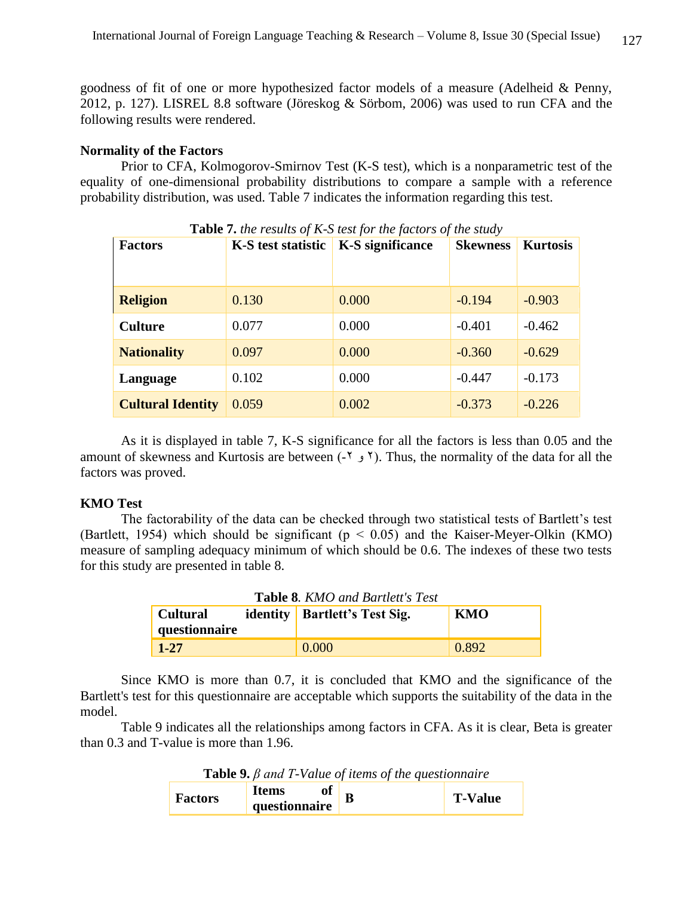goodness of fit of one or more hypothesized factor models of a measure (Adelheid & Penny, 2012, p. 127). LISREL 8.8 software (Jöreskog & Sörbom, 2006) was used to run CFA and the following results were rendered.

#### **Normality of the Factors**

Prior to CFA, Kolmogorov-Smirnov Test (K-S test), which is a nonparametric test of the equality of one-dimensional probability distributions to compare a sample with a reference probability distribution, was used. Table 7 indicates the information regarding this test.

| <b>Factors</b>           | K-S test statistic | <b>K-S</b> significance | <b>Skewness</b> | <b>Kurtosis</b> |
|--------------------------|--------------------|-------------------------|-----------------|-----------------|
| <b>Religion</b>          | 0.130              | 0.000                   | $-0.194$        | $-0.903$        |
| <b>Culture</b>           | 0.077              | 0.000                   | $-0.401$        | $-0.462$        |
| <b>Nationality</b>       | 0.097              | 0.000                   | $-0.360$        | $-0.629$        |
| Language                 | 0.102              | 0.000                   | $-0.447$        | $-0.173$        |
| <b>Cultural Identity</b> | 0.059              | 0.002                   | $-0.373$        | $-0.226$        |

**Table 7.** *the results of K-S test for the factors of the study*

As it is displayed in table 7, K-S significance for all the factors is less than 0.05 and the amount of skewness and Kurtosis are between  $(-2)$  ( $\bar{2}$ ). Thus, the normality of the data for all the factors was proved.

## **KMO Test**

The factorability of the data can be checked through two statistical tests of Bartlett's test (Bartlett, 1954) which should be significant ( $p < 0.05$ ) and the Kaiser-Meyer-Olkin (KMO) measure of sampling adequacy minimum of which should be 0.6. The indexes of these two tests for this study are presented in table 8.

| <b>Table 8. KMO and Bartlett's Test</b> |  |                                      |       |  |  |
|-----------------------------------------|--|--------------------------------------|-------|--|--|
| <b>Cultural</b>                         |  | <b>identity</b> Bartlett's Test Sig. | KMO   |  |  |
| questionnaire                           |  |                                      |       |  |  |
| $1 - 27$                                |  | 0.000                                | 0.892 |  |  |

Since KMO is more than 0.7, it is concluded that KMO and the significance of the Bartlett's test for this questionnaire are acceptable which supports the suitability of the data in the model.

Table 9 indicates all the relationships among factors in CFA. As it is clear, Beta is greater than 0.3 and T-value is more than 1.96.

**Table 9.** *β and T-Value of items of the questionnaire*

| Factors | vı            |  | <b>T-Value</b> |
|---------|---------------|--|----------------|
|         | questionnaire |  |                |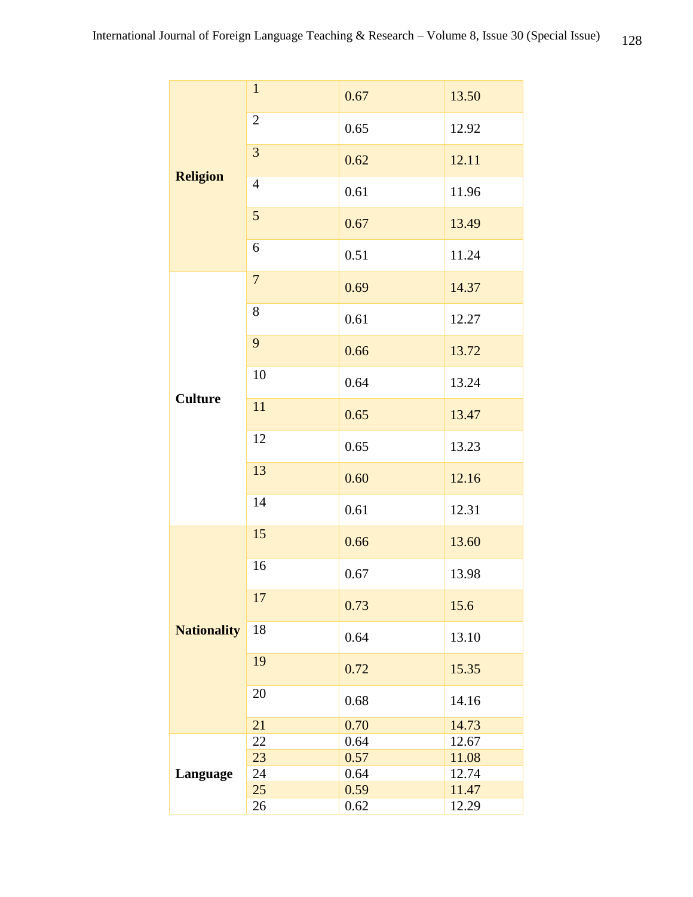|  | <b>Religion</b>    | $\mathbf{1}$   | 0.67 | 13.50 |  |
|--|--------------------|----------------|------|-------|--|
|  |                    | $\overline{2}$ | 0.65 | 12.92 |  |
|  |                    | 3              | 0.62 | 12.11 |  |
|  |                    | $\overline{4}$ | 0.61 | 11.96 |  |
|  |                    | 5              | 0.67 | 13.49 |  |
|  |                    | 6              | 0.51 | 11.24 |  |
|  | <b>Culture</b>     | $\overline{7}$ | 0.69 | 14.37 |  |
|  |                    | 8              | 0.61 | 12.27 |  |
|  |                    | 9              | 0.66 | 13.72 |  |
|  |                    | 10             | 0.64 | 13.24 |  |
|  |                    | 11             | 0.65 | 13.47 |  |
|  |                    | 12             | 0.65 | 13.23 |  |
|  |                    | 13             | 0.60 | 12.16 |  |
|  |                    | 14             | 0.61 | 12.31 |  |
|  | <b>Nationality</b> | 15             | 0.66 | 13.60 |  |
|  |                    | 16             | 0.67 | 13.98 |  |
|  |                    | 17             | 0.73 | 15.6  |  |
|  |                    | 18             | 0.64 | 13.10 |  |
|  |                    | 19             | 0.72 | 15.35 |  |
|  |                    | 20             | 0.68 | 14.16 |  |
|  |                    | 21             | 0.70 | 14.73 |  |
|  | Language           | 22             | 0.64 | 12.67 |  |
|  |                    | 23             | 0.57 | 11.08 |  |
|  |                    | 24             | 0.64 | 12.74 |  |
|  |                    | 25             | 0.59 | 11.47 |  |
|  |                    |                |      |       |  |
|  |                    | 26             | 0.62 | 12.29 |  |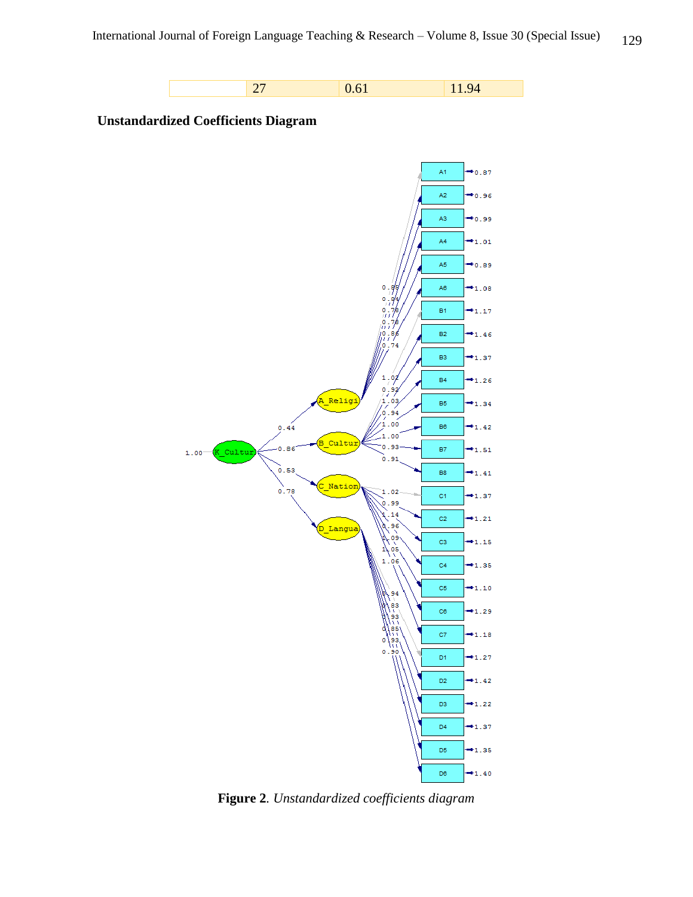





**Figure 2***. Unstandardized coefficients diagram*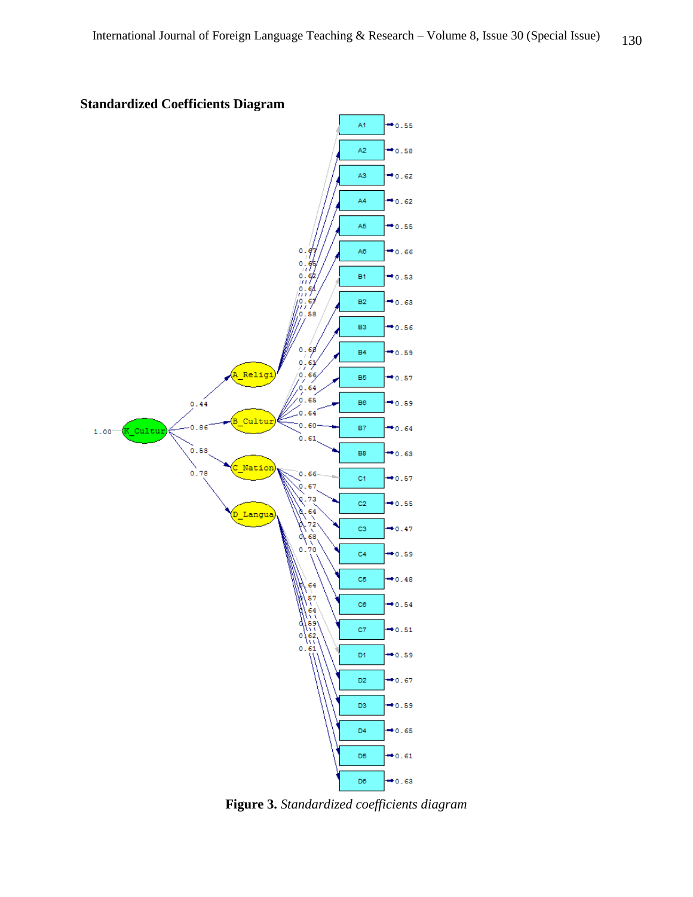

**Standardized Coefficients Diagram**

**Figure 3.** *Standardized coefficients diagram*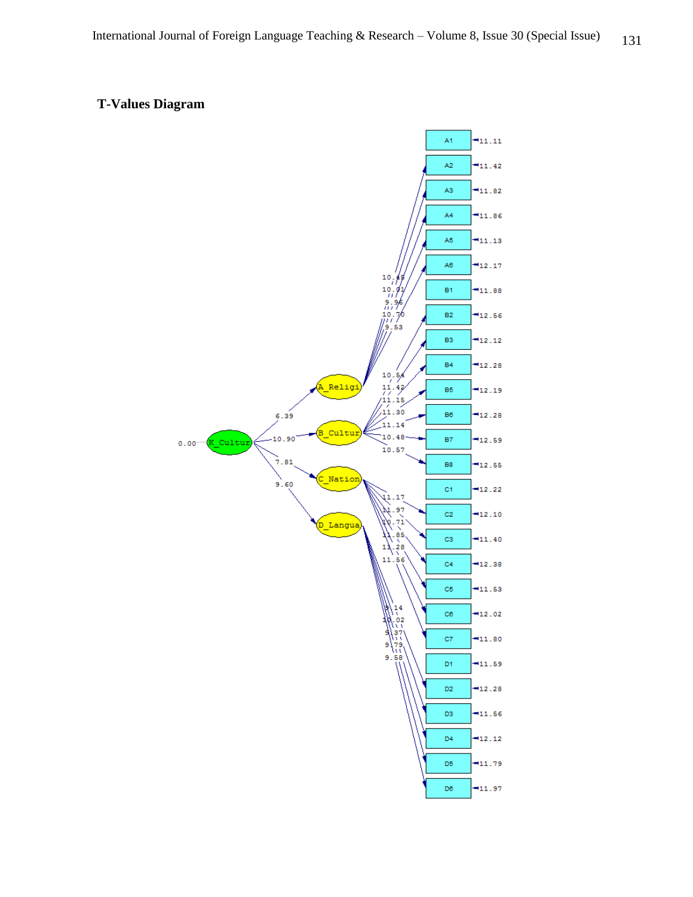# **T-Values Diagram**

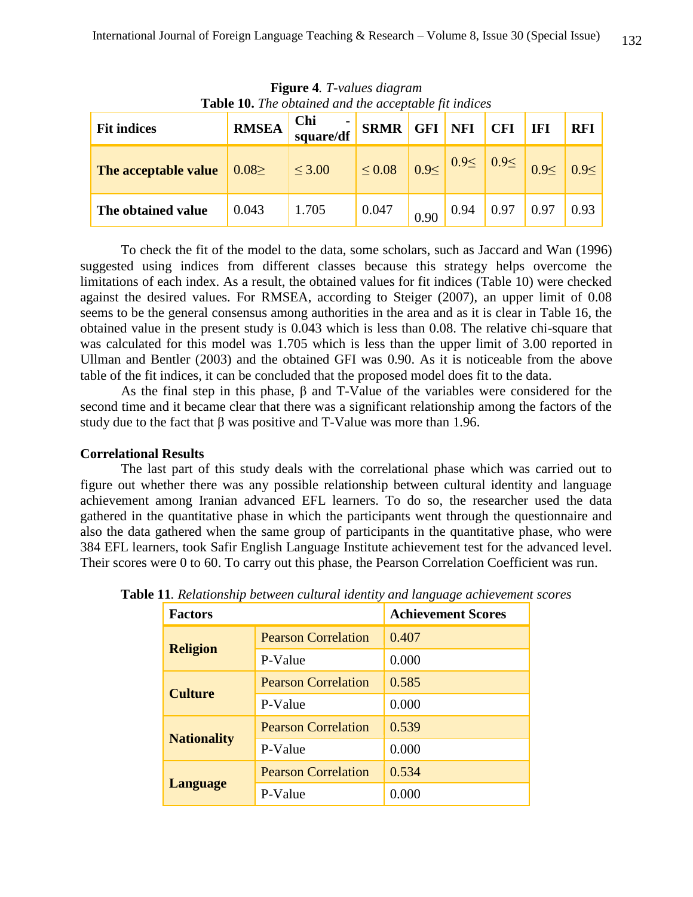| <b>Table 10.</b> The obtained and the acceptable fit indices |              |                  |             |      |      |            |                                                                                             |            |
|--------------------------------------------------------------|--------------|------------------|-------------|------|------|------------|---------------------------------------------------------------------------------------------|------------|
| <b>Fit indices</b>                                           | <b>RMSEA</b> | Chi<br>square/df | <b>SRMR</b> | GFI  | NFI  | <b>CFI</b> | IFI                                                                                         | <b>RFI</b> |
| The acceptable value                                         | $0.08 \ge$   | $\leq 3.00$      | $\leq 0.08$ |      |      |            | $\left  0.9 \leq \right  0.9 \leq \left  0.9 \leq \right  0.9 \leq \left  0.9 \leq \right $ |            |
| The obtained value                                           | 0.043        | 1.705            | 0.047       | 0.90 | 0.94 | 0.97       | 0.97                                                                                        | 0.93       |

**Figure 4***. T-values diagram* **Table 10.** *The obtained and the acceptable fit indices*

To check the fit of the model to the data, some scholars, such as Jaccard and Wan (1996) suggested using indices from different classes because this strategy helps overcome the limitations of each index. As a result, the obtained values for fit indices (Table 10) were checked against the desired values. For RMSEA, according to Steiger (2007), an upper limit of 0.08 seems to be the general consensus among authorities in the area and as it is clear in Table 16, the obtained value in the present study is 0.043 which is less than 0.08. The relative chi-square that was calculated for this model was 1.705 which is less than the upper limit of 3.00 reported in Ullman and Bentler (2003) and the obtained GFI was 0.90. As it is noticeable from the above table of the fit indices, it can be concluded that the proposed model does fit to the data.

As the final step in this phase, β and T-Value of the variables were considered for the second time and it became clear that there was a significant relationship among the factors of the study due to the fact that  $\beta$  was positive and T-Value was more than 1.96.

## **Correlational Results**

The last part of this study deals with the correlational phase which was carried out to figure out whether there was any possible relationship between cultural identity and language achievement among Iranian advanced EFL learners. To do so, the researcher used the data gathered in the quantitative phase in which the participants went through the questionnaire and also the data gathered when the same group of participants in the quantitative phase, who were 384 EFL learners, took Safir English Language Institute achievement test for the advanced level. Their scores were 0 to 60. To carry out this phase, the Pearson Correlation Coefficient was run.

| <b>Factors</b>     |                            | <b>Achievement Scores</b> |  |  |
|--------------------|----------------------------|---------------------------|--|--|
|                    | <b>Pearson Correlation</b> | 0.407                     |  |  |
| <b>Religion</b>    | P-Value                    | 0.000                     |  |  |
| <b>Culture</b>     | <b>Pearson Correlation</b> | 0.585                     |  |  |
|                    | P-Value                    | 0.000                     |  |  |
|                    | <b>Pearson Correlation</b> | 0.539                     |  |  |
| <b>Nationality</b> | P-Value                    | 0.000                     |  |  |
|                    | <b>Pearson Correlation</b> | 0.534                     |  |  |
| <b>Language</b>    | P-Value                    | 0.000                     |  |  |

**Table 11***. Relationship between cultural identity and language achievement scores*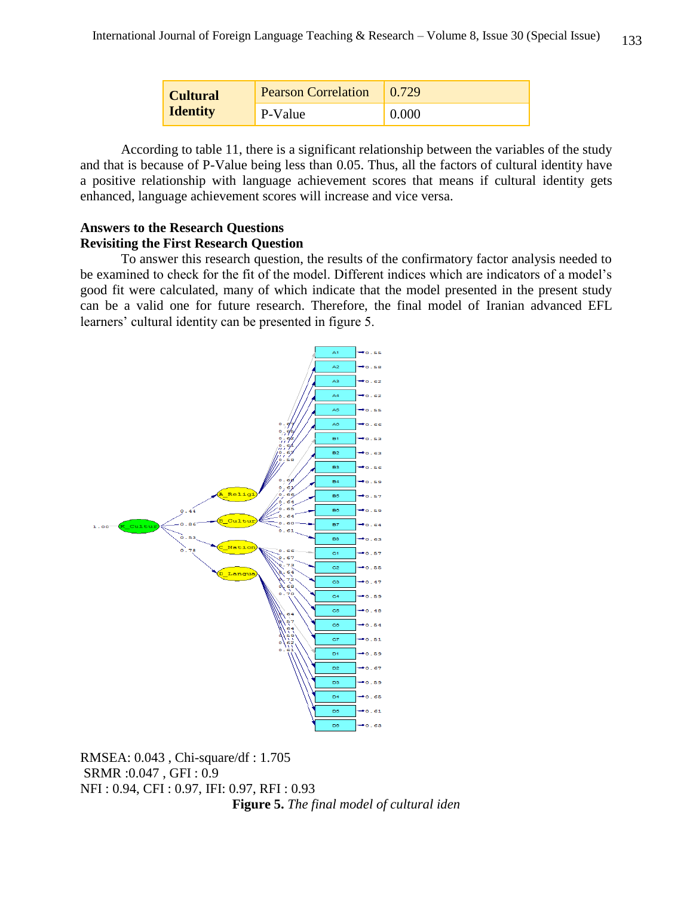| <b>Cultural</b><br><b>Identity</b> | <b>Pearson Correlation</b> | 0.729 |
|------------------------------------|----------------------------|-------|
|                                    | P-Value                    | 0.000 |

According to table 11, there is a significant relationship between the variables of the study and that is because of P-Value being less than 0.05. Thus, all the factors of cultural identity have a positive relationship with language achievement scores that means if cultural identity gets enhanced, language achievement scores will increase and vice versa.

## **Answers to the Research Questions Revisiting the First Research Question**

To answer this research question, the results of the confirmatory factor analysis needed to be examined to check for the fit of the model. Different indices which are indicators of a model's good fit were calculated, many of which indicate that the model presented in the present study can be a valid one for future research. Therefore, the final model of Iranian advanced EFL learners' cultural identity can be presented in figure 5.



RMSEA: 0.043 , Chi-square/df : 1.705 SRMR :0.047 , GFI : 0.9 NFI : 0.94, CFI : 0.97, IFI: 0.97, RFI : 0.93 **Figure 5.** *The final model of cultural iden*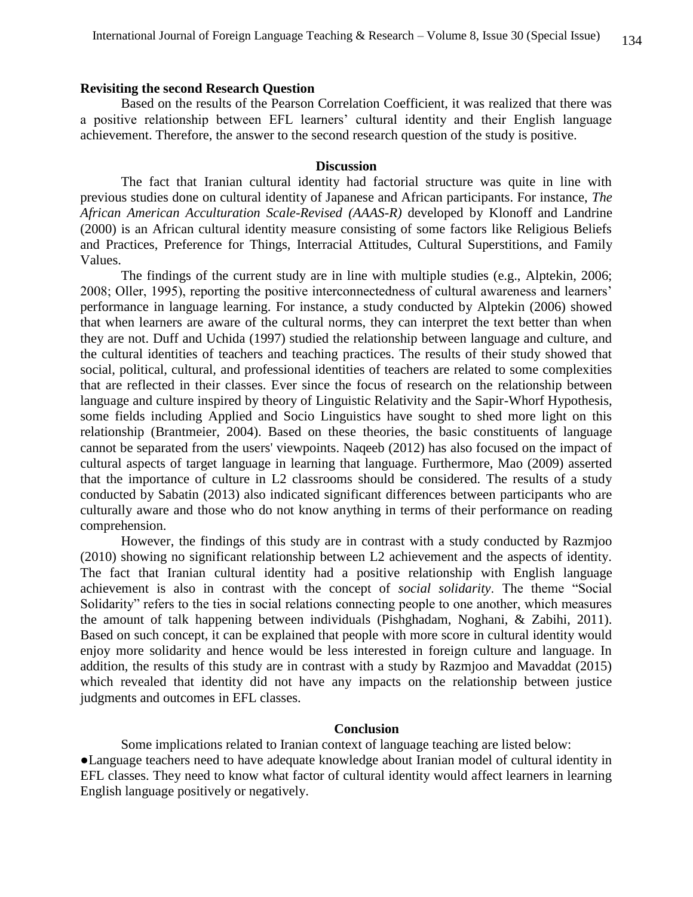## **Revisiting the second Research Question**

Based on the results of the Pearson Correlation Coefficient, it was realized that there was a positive relationship between EFL learners' cultural identity and their English language achievement. Therefore, the answer to the second research question of the study is positive.

#### **Discussion**

The fact that Iranian cultural identity had factorial structure was quite in line with previous studies done on cultural identity of Japanese and African participants. For instance, *The African American Acculturation Scale-Revised (AAAS-R)* developed by Klonoff and Landrine (2000) is an African cultural identity measure consisting of some factors like Religious Beliefs and Practices, Preference for Things, Interracial Attitudes, Cultural Superstitions, and Family Values.

The findings of the current study are in line with multiple studies (e.g., Alptekin, 2006; 2008; Oller, 1995), reporting the positive interconnectedness of cultural awareness and learners' performance in language learning. For instance, a study conducted by Alptekin (2006) showed that when learners are aware of the cultural norms, they can interpret the text better than when they are not. Duff and Uchida (1997) studied the relationship between language and culture, and the cultural identities of teachers and teaching practices. The results of their study showed that social, political, cultural, and professional identities of teachers are related to some complexities that are reflected in their classes. Ever since the focus of research on the relationship between language and culture inspired by theory of Linguistic Relativity and the Sapir-Whorf Hypothesis, some fields including Applied and Socio Linguistics have sought to shed more light on this relationship (Brantmeier, 2004). Based on these theories, the basic constituents of language cannot be separated from the users' viewpoints. Naqeeb (2012) has also focused on the impact of cultural aspects of target language in learning that language. Furthermore, Mao (2009) asserted that the importance of culture in L2 classrooms should be considered. The results of a study conducted by Sabatin (2013) also indicated significant differences between participants who are culturally aware and those who do not know anything in terms of their performance on reading comprehension.

However, the findings of this study are in contrast with a study conducted by Razmjoo (2010) showing no significant relationship between L2 achievement and the aspects of identity. The fact that Iranian cultural identity had a positive relationship with English language achievement is also in contrast with the concept of *social solidarity*. The theme "Social Solidarity" refers to the ties in social relations connecting people to one another, which measures the amount of talk happening between individuals (Pishghadam, Noghani, & Zabihi, 2011). Based on such concept, it can be explained that people with more score in cultural identity would enjoy more solidarity and hence would be less interested in foreign culture and language. In addition, the results of this study are in contrast with a study by Razmjoo and Mavaddat (2015) which revealed that identity did not have any impacts on the relationship between justice judgments and outcomes in EFL classes.

## **Conclusion**

Some implications related to Iranian context of language teaching are listed below: ●Language teachers need to have adequate knowledge about Iranian model of cultural identity in EFL classes. They need to know what factor of cultural identity would affect learners in learning English language positively or negatively.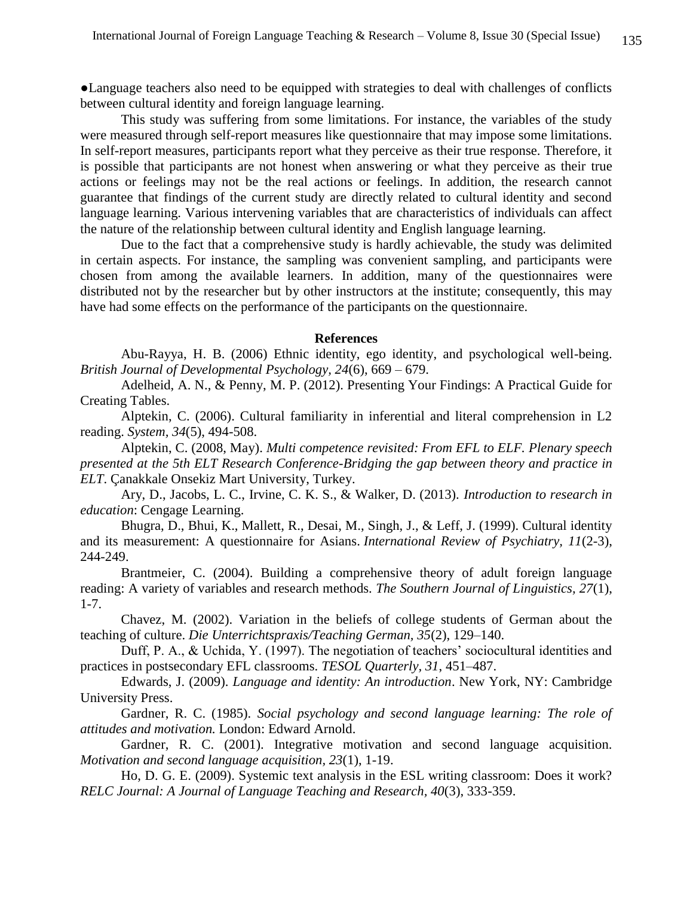●Language teachers also need to be equipped with strategies to deal with challenges of conflicts between cultural identity and foreign language learning.

This study was suffering from some limitations. For instance, the variables of the study were measured through self-report measures like questionnaire that may impose some limitations. In self-report measures, participants report what they perceive as their true response. Therefore, it is possible that participants are not honest when answering or what they perceive as their true actions or feelings may not be the real actions or feelings. In addition, the research cannot guarantee that findings of the current study are directly related to cultural identity and second language learning. Various intervening variables that are characteristics of individuals can affect the nature of the relationship between cultural identity and English language learning.

Due to the fact that a comprehensive study is hardly achievable, the study was delimited in certain aspects. For instance, the sampling was convenient sampling, and participants were chosen from among the available learners. In addition, many of the questionnaires were distributed not by the researcher but by other instructors at the institute; consequently, this may have had some effects on the performance of the participants on the questionnaire.

#### **References**

Abu-Rayya, H. B. (2006) Ethnic identity, ego identity, and psychological well-being. *British Journal of Developmental Psychology, 24*(6), 669 – 679.

Adelheid, A. N., & Penny, M. P. (2012). Presenting Your Findings: A Practical Guide for Creating Tables.

Alptekin, C. (2006). Cultural familiarity in inferential and literal comprehension in L2 reading. *System, 34*(5), 494-508.

Alptekin, C. (2008, May). *Multi competence revisited: From EFL to ELF. Plenary speech presented at the 5th ELT Research Conference-Bridging the gap between theory and practice in ELT*. Çanakkale Onsekiz Mart University, Turkey.

Ary, D., Jacobs, L. C., Irvine, C. K. S., & Walker, D. (2013). *Introduction to research in education*: Cengage Learning.

Bhugra, D., Bhui, K., Mallett, R., Desai, M., Singh, J., & Leff, J. (1999). Cultural identity and its measurement: A questionnaire for Asians. *International Review of Psychiatry, 11*(2-3), 244-249.

Brantmeier, C. (2004). Building a comprehensive theory of adult foreign language reading: A variety of variables and research methods. *The Southern Journal of Linguistics, 27*(1), 1-7.

Chavez, M. (2002). Variation in the beliefs of college students of German about the teaching of culture. *Die Unterrichtspraxis/Teaching German, 35*(2), 129–140.

Duff, P. A., & Uchida, Y. (1997). The negotiation of teachers' sociocultural identities and practices in postsecondary EFL classrooms. *TESOL Quarterly, 31*, 451–487.

Edwards, J. (2009). *Language and identity: An introduction*. New York, NY: Cambridge University Press.

Gardner, R. C. (1985). *Social psychology and second language learning: The role of attitudes and motivation.* London: Edward Arnold.

Gardner, R. C. (2001). Integrative motivation and second language acquisition. *Motivation and second language acquisition, 23*(1), 1-19.

Ho, D. G. E. (2009). Systemic text analysis in the ESL writing classroom: Does it work? *RELC Journal: A Journal of Language Teaching and Research, 40*(3), 333-359.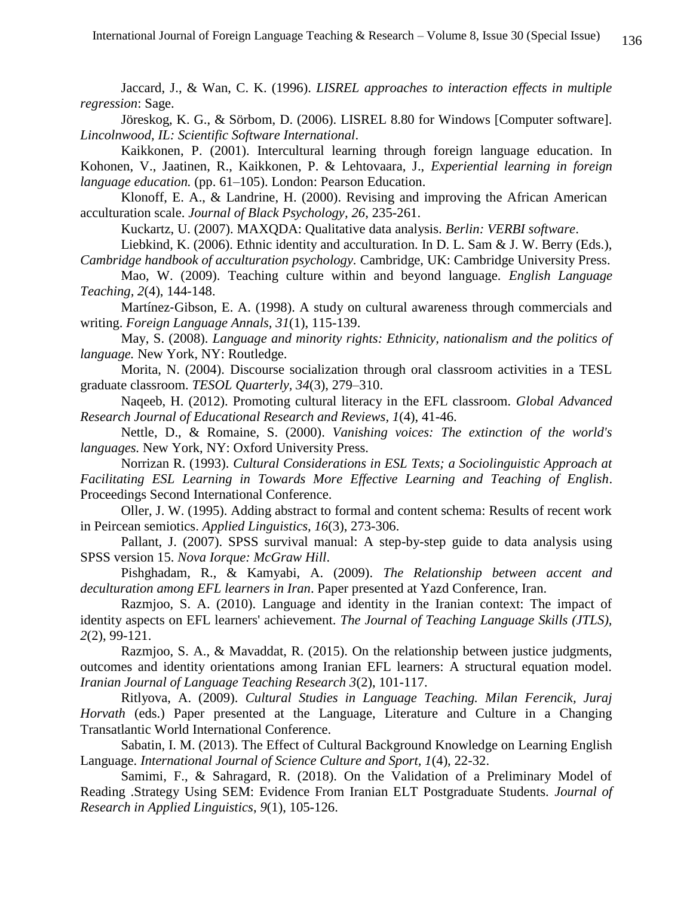Jaccard, J., & Wan, C. K. (1996). *LISREL approaches to interaction effects in multiple regression*: Sage.

Jöreskog, K. G., & Sörbom, D. (2006). LISREL 8.80 for Windows [Computer software]. *Lincolnwood, IL: Scientific Software International*.

Kaikkonen, P. (2001). Intercultural learning through foreign language education. In Kohonen, V., Jaatinen, R., Kaikkonen, P. & Lehtovaara, J., *Experiential learning in foreign language education.* (pp. 61–105). London: Pearson Education.

Klonoff, E. A., & Landrine, H. (2000). Revising and improving the African American acculturation scale. *Journal of Black Psychology, 26*, 235-261.

Kuckartz, U. (2007). MAXQDA: Qualitative data analysis. *Berlin: VERBI software*.

Liebkind, K. (2006). Ethnic identity and acculturation. In D. L. Sam & J. W. Berry (Eds.), *Cambridge handbook of acculturation psychology.* Cambridge, UK: Cambridge University Press.

Mao, W. (2009). Teaching culture within and beyond language*. English Language Teaching, 2*(4), 144-148.

Martínez-Gibson, E. A. (1998). A study on cultural awareness through commercials and writing. *Foreign Language Annals, 31*(1), 115-139.

May, S. (2008). *Language and minority rights: Ethnicity, nationalism and the politics of language.* New York, NY: Routledge.

Morita, N. (2004). Discourse socialization through oral classroom activities in a TESL graduate classroom. *TESOL Quarterly, 34*(3), 279–310.

Naqeeb, H. (2012). Promoting cultural literacy in the EFL classroom*. Global Advanced Research Journal of Educational Research and Reviews, 1*(4), 41-46.

Nettle, D., & Romaine, S. (2000). *Vanishing voices: The extinction of the world's languages.* New York, NY: Oxford University Press.

Norrizan R. (1993). *Cultural Considerations in ESL Texts; a Sociolinguistic Approach at Facilitating ESL Learning in Towards More Effective Learning and Teaching of English*. Proceedings Second International Conference.

Oller, J. W. (1995). Adding abstract to formal and content schema: Results of recent work in Peircean semiotics. *Applied Linguistics, 16*(3), 273-306.

Pallant, J. (2007). SPSS survival manual: A step-by-step guide to data analysis using SPSS version 15. *Nova Iorque: McGraw Hill*.

Pishghadam, R., & Kamyabi, A. (2009). *The Relationship between accent and deculturation among EFL learners in Iran*. Paper presented at Yazd Conference, Iran.

Razmjoo, S. A. (2010). Language and identity in the Iranian context: The impact of identity aspects on EFL learners' achievement. *The Journal of Teaching Language Skills (JTLS), 2*(2), 99-121.

Razmjoo, S. A., & Mavaddat, R. (2015). On the relationship between justice judgments, outcomes and identity orientations among Iranian EFL learners: A structural equation model. *Iranian Journal of Language Teaching Research 3*(2), 101-117.

Ritlyova, A. (2009). *Cultural Studies in Language Teaching. Milan Ferencik, Juraj Horvath* (eds.) Paper presented at the Language, Literature and Culture in a Changing Transatlantic World International Conference.

Sabatin, I. M. (2013). The Effect of Cultural Background Knowledge on Learning English Language. *International Journal of Science Culture and Sport, 1*(4), 22-32.

Samimi, F., & Sahragard, R. (2018). On the Validation of a Preliminary Model of Reading .Strategy Using SEM: Evidence From Iranian ELT Postgraduate Students. *Journal of Research in Applied Linguistics*, *9*(1), 105-126.